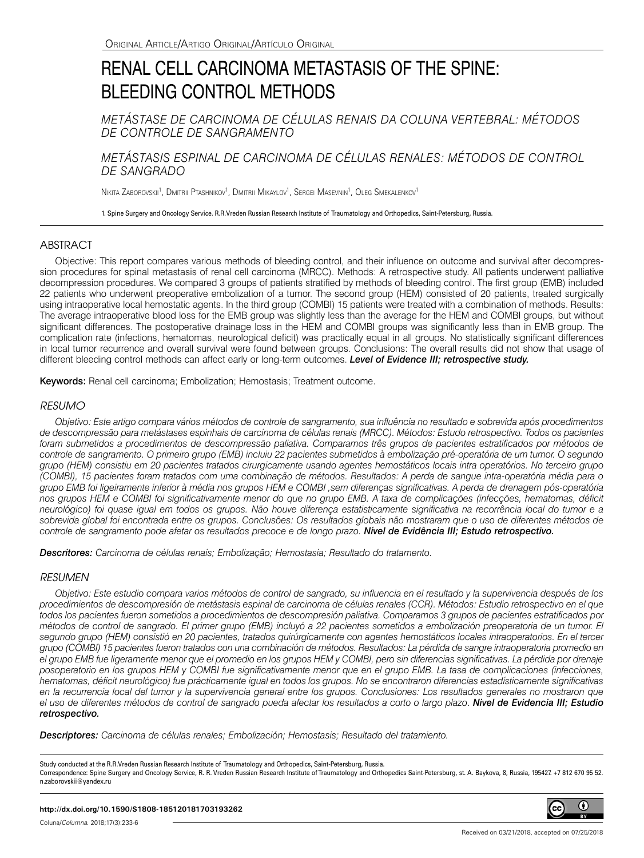# RENAL CELL CARCINOMA METASTASIS OF THE SPINE: BLEEDING CONTROL METHODS

*METÁSTASE DE CARCINOMA DE CÉLULAS RENAIS DA COLUNA VERTEBRAL: MÉTODOS DE CONTROLE DE SANGRAMENTO*

*METÁSTASIS ESPINAL DE CARCINOMA DE CÉLULAS RENALES: MÉTODOS DE CONTROL DE SANGRADO*

Nikita Zaborovskii<sup>1</sup>, Dmitrii Ptashnikov<sup>1</sup>, Dmitrii Mikaylov<sup>1</sup>, Sergei Masevnin<sup>1</sup>, Oleg Smekalenkov<sup>1</sup>

1. Spine Surgery and Oncology Service. R.R.Vreden Russian Research Institute of Traumatology and Orthopedics, Saint-Petersburg, Russia.

# ABSTRACT

Objective: This report compares various methods of bleeding control, and their influence on outcome and survival after decompression procedures for spinal metastasis of renal cell carcinoma (MRCC). Methods: A retrospective study. All patients underwent palliative decompression procedures. We compared 3 groups of patients stratified by methods of bleeding control. The first group (EMB) included 22 patients who underwent preoperative embolization of a tumor. The second group (HEM) consisted of 20 patients, treated surgically using intraoperative local hemostatic agents. In the third group (COMBI) 15 patients were treated with a combination of methods. Results: The average intraoperative blood loss for the EMB group was slightly less than the average for the HEM and COMBI groups, but without significant differences. The postoperative drainage loss in the HEM and COMBI groups was significantly less than in EMB group. The complication rate (infections, hematomas, neurological deficit) was practically equal in all groups. No statistically significant differences in local tumor recurrence and overall survival were found between groups. Conclusions: The overall results did not show that usage of different bleeding control methods can affect early or long-term outcomes. *Level of Evidence III; retrospective study.*

Keywords: Renal cell carcinoma; Embolization; Hemostasis; Treatment outcome.

## *RESUMO*

*Objetivo: Este artigo compara vários métodos de controle de sangramento, sua influência no resultado e sobrevida após procedimentos de descompressão para metástases espinhais de carcinoma de células renais (MRCC). Métodos: Estudo retrospectivo. Todos os pacientes*  foram submetidos a procedimentos de descompressão paliativa. Comparamos três grupos de pacientes estratificados por métodos de *controle de sangramento. O primeiro grupo (EMB) incluiu 22 pacientes submetidos à embolização pré-operatória de um tumor. O segundo grupo (HEM) consistiu em 20 pacientes tratados cirurgicamente usando agentes hemostáticos locais intra operatórios. No terceiro grupo (COMBI), 15 pacientes foram tratados com uma combinação de métodos. Resultados: A perda de sangue intra-operatória média para o grupo EMB foi ligeiramente inferior à média nos grupos HEM e COMBI ,sem diferenças significativas. A perda de drenagem pós-operatória nos grupos HEM e COMBI foi significativamente menor do que no grupo EMB. A taxa de complicações (infecções, hematomas, déficit neurológico) foi quase igual em todos os grupos. Não houve diferença estatisticamente significativa na recorrência local do tumor e a sobrevida global foi encontrada entre os grupos. Conclusões: Os resultados globais não mostraram que o uso de diferentes métodos de controle de sangramento pode afetar os resultados precoce e de longo prazo. Nível de Evidência III; Estudo retrospectivo.*

*Descritores: Carcinoma de células renais; Embolização; Hemostasia; Resultado do tratamento.*

## *RESUMEN*

*Objetivo: Este estudio compara varios métodos de control de sangrado, su influencia en el resultado y la supervivencia después de los procedimientos de descompresión de metástasis espinal de carcinoma de células renales (CCR). Métodos: Estudio retrospectivo en el que todos los pacientes fueron sometidos a procedimientos de descompresión paliativa. Comparamos 3 grupos de pacientes estratificados por métodos de control de sangrado. El primer grupo (EMB) incluyó a 22 pacientes sometidos a embolización preoperatoria de un tumor. El segundo grupo (HEM) consistió en 20 pacientes, tratados quirúrgicamente con agentes hemostáticos locales intraoperatorios. En el tercer grupo (COMBI) 15 pacientes fueron tratados con una combinación de métodos. Resultados: La pérdida de sangre intraoperatoria promedio en el grupo EMB fue ligeramente menor que el promedio en los grupos HEM y COMBI, pero sin diferencias significativas. La pérdida por drenaje posoperatorio en los grupos HEM y COMBI fue significativamente menor que en el grupo EMB. La tasa de complicaciones (infecciones, hematomas, déficit neurológico) fue prácticamente igual en todos los grupos. No se encontraron diferencias estadísticamente significativas en la recurrencia local del tumor y la supervivencia general entre los grupos. Conclusiones: Los resultados generales no mostraron que el uso de diferentes métodos de control de sangrado pueda afectar los resultados a corto o largo plazo*. *Nivel de Evidencia III; Estudio retrospectivo.*

*Descriptores: Carcinoma de células renales; Embolización; Hemostasis; Resultado del tratamiento.*

Study conducted at the R.R.Vreden Russian Research Institute of Traumatology and Orthopedics, Saint-Petersburg, Russia. Correspondence: Spine Surgery and Oncology Service, R. R. Vreden Russian Research Institute of Traumatology and Orthopedics Saint-Petersburg, st. A. Baykova, 8, Russia, 195427. +7 812 670 95 52. n.zaborovskii@yandex.ru

#### **http://dx.doi.org/10.1590/S1808-185120181703193262**

Coluna/*Columna*. 2018;17(3):233-6

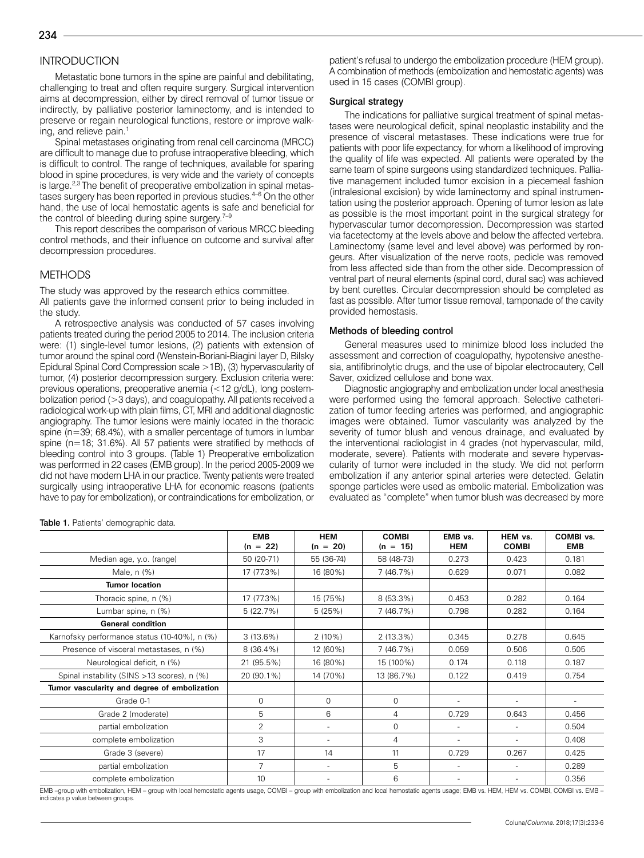## **INTRODUCTION**

Metastatic bone tumors in the spine are painful and debilitating, challenging to treat and often require surgery. Surgical intervention aims at decompression, either by direct removal of tumor tissue or indirectly, by palliative posterior laminectomy, and is intended to preserve or regain neurological functions, restore or improve walking, and relieve pain.<sup>1</sup>

Spinal metastases originating from renal cell carcinoma (MRCC) are difficult to manage due to profuse intraoperative bleeding, which is difficult to control. The range of techniques, available for sparing blood in spine procedures, is very wide and the variety of concepts is large.<sup>2,3</sup> The benefit of preoperative embolization in spinal metastases surgery has been reported in previous studies.<sup>4-6</sup> On the other hand, the use of local hemostatic agents is safe and beneficial for the control of bleeding during spine surgery. $7-9$ 

This report describes the comparison of various MRCC bleeding control methods, and their influence on outcome and survival after decompression procedures.

## METHODS

The study was approved by the research ethics committee. All patients gave the informed consent prior to being included in the study.

A retrospective analysis was conducted of 57 cases involving patients treated during the period 2005 to 2014. The inclusion criteria were: (1) single-level tumor lesions, (2) patients with extension of tumor around the spinal cord (Wenstein-Boriani-Biagini layer D, Bilsky Epidural Spinal Cord Compression scale >1B), (3) hypervascularity of tumor, (4) posterior decompression surgery. Exclusion criteria were: previous operations, preoperative anemia (<12 g/dL), long postembolization period (>3 days), and coagulopathy. All patients received a radiological work-up with plain films, CT, MRI and additional diagnostic angiography. The tumor lesions were mainly located in the thoracic spine (n=39; 68.4%), with a smaller percentage of tumors in lumbar spine (n=18; 31.6%). All 57 patients were stratified by methods of bleeding control into 3 groups. (Table 1) Preoperative embolization was performed in 22 cases (EMB group). In the period 2005-2009 we did not have modern LHA in our practice. Twenty patients were treated surgically using intraoperative LHA for economic reasons (patients have to pay for embolization), or contraindications for embolization, or

patient's refusal to undergo the embolization procedure (HEM group). A combination of methods (embolization and hemostatic agents) was used in 15 cases (COMBI group).

#### Surgical strategy

The indications for palliative surgical treatment of spinal metastases were neurological deficit, spinal neoplastic instability and the presence of visceral metastases. These indications were true for patients with poor life expectancy, for whom a likelihood of improving the quality of life was expected. All patients were operated by the same team of spine surgeons using standardized techniques. Palliative management included tumor excision in a piecemeal fashion (intralesional excision) by wide laminectomy and spinal instrumentation using the posterior approach. Opening of tumor lesion as late as possible is the most important point in the surgical strategy for hypervascular tumor decompression. Decompression was started via facetectomy at the levels above and below the affected vertebra. Laminectomy (same level and level above) was performed by rongeurs. After visualization of the nerve roots, pedicle was removed from less affected side than from the other side. Decompression of ventral part of neural elements (spinal cord, dural sac) was achieved by bent curettes. Circular decompression should be completed as fast as possible. After tumor tissue removal, tamponade of the cavity provided hemostasis.

#### Methods of bleeding control

General measures used to minimize blood loss included the assessment and correction of coagulopathy, hypotensive anesthesia, antifibrinolytic drugs, and the use of bipolar electrocautery, Cell Saver, oxidized cellulose and bone wax.

Diagnostic angiography and embolization under local anesthesia were performed using the femoral approach. Selective catheterization of tumor feeding arteries was performed, and angiographic images were obtained. Tumor vascularity was analyzed by the severity of tumor blush and venous drainage, and evaluated by the interventional radiologist in 4 grades (not hypervascular, mild, moderate, severe). Patients with moderate and severe hypervascularity of tumor were included in the study. We did not perform embolization if any anterior spinal arteries were detected. Gelatin sponge particles were used as embolic material. Embolization was evaluated as "complete" when tumor blush was decreased by more

Table 1. Patients' demographic data.

|                                              | <b>EMB</b><br>$(n = 22)$ | <b>HEM</b><br>$(n = 20)$ | <b>COMBI</b><br>$(n = 15)$ | EMB vs.<br><b>HEM</b>    | HEM vs.<br><b>COMBI</b> | COMBI vs.<br><b>EMB</b> |
|----------------------------------------------|--------------------------|--------------------------|----------------------------|--------------------------|-------------------------|-------------------------|
| Median age, y.o. (range)                     | 50 (20-71)               | 55 (36-74)               | 58 (48-73)                 | 0.273                    | 0.423                   | 0.181                   |
| Male, n (%)                                  | 17 (77.3%)               | 16 (80%)                 | 7(46.7%)                   | 0.629                    | 0.071                   | 0.082                   |
| <b>Tumor location</b>                        |                          |                          |                            |                          |                         |                         |
| Thoracic spine, n (%)                        | 17 (77.3%)               | 15 (75%)                 | $8(53.3\%)$                | 0.453                    | 0.282                   | 0.164                   |
| Lumbar spine, n (%)                          | 5(22.7%)                 | 5(25%)                   | 7(46.7%)                   | 0.798                    | 0.282                   | 0.164                   |
| <b>General condition</b>                     |                          |                          |                            |                          |                         |                         |
| Karnofsky performance status (10-40%), n (%) | $3(13.6\%)$              | $2(10\%)$                | $2(13.3\%)$                | 0.345                    | 0.278                   | 0.645                   |
| Presence of visceral metastases, n (%)       | 8 (36.4%)                | 12 (60%)                 | 7(46.7%)                   | 0.059                    | 0.506                   | 0.505                   |
| Neurological deficit, n (%)                  | 21 (95.5%)               | 16 (80%)                 | 15 (100%)                  | 0.174                    | 0.118                   | 0.187                   |
| Spinal instability (SINS > 13 scores), n (%) | 20 (90.1%)               | 14 (70%)                 | 13 (86.7%)                 | 0.122                    | 0.419                   | 0.754                   |
| Tumor vascularity and degree of embolization |                          |                          |                            |                          |                         |                         |
| Grade 0-1                                    | 0                        | $\mathbf 0$              | $\Omega$                   |                          |                         |                         |
| Grade 2 (moderate)                           | 5                        | 6                        | 4                          | 0.729                    | 0.643                   | 0.456                   |
| partial embolization                         | 2                        | $\sim$                   | 0                          |                          |                         | 0.504                   |
| complete embolization                        | 3                        | $\sim$                   | 4                          | $\overline{\phantom{a}}$ |                         | 0.408                   |
| Grade 3 (severe)                             | 17                       | 14                       | 11                         | 0.729                    | 0.267                   | 0.425                   |
| partial embolization                         | 7                        | $\overline{\phantom{a}}$ | 5                          |                          |                         | 0.289                   |
| complete embolization                        | 10                       |                          | 6                          |                          |                         | 0.356                   |

EMB –group with embolization, HEM – group with local hemostatic agents usage, COMBI – group with embolization and local hemostatic agents usage; EMB vs. HEM, HEM vs. COMBI, COMBI vs. EMB – indicates p value between groups.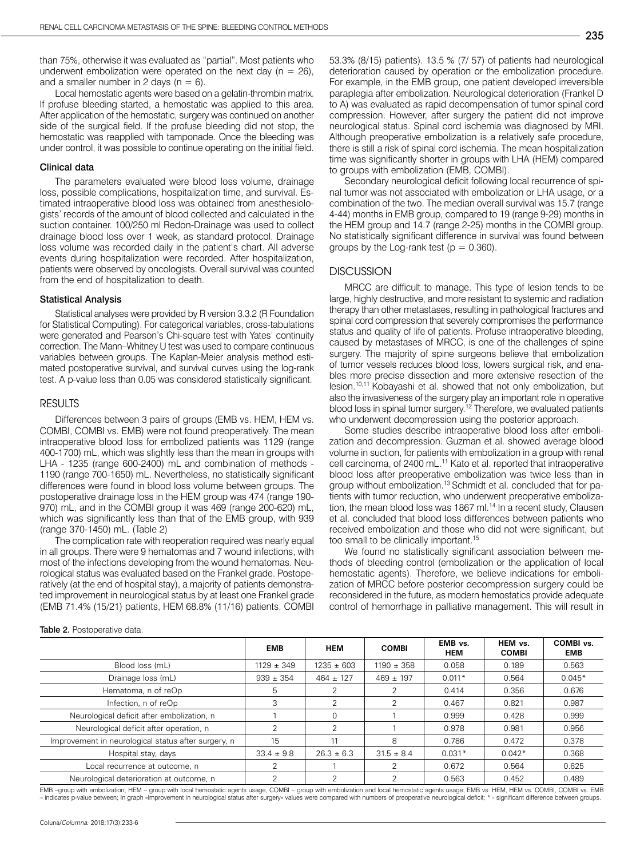than 75%, otherwise it was evaluated as "partial". Most patients who underwent embolization were operated on the next day  $(n = 26)$ . and a smaller number in 2 days ( $n = 6$ ).

Local hemostatic agents were based on a gelatin-thrombin matrix. If profuse bleeding started, a hemostatic was applied to this area. After application of the hemostatic, surgery was continued on another side of the surgical field. If the profuse bleeding did not stop, the hemostatic was reapplied with tamponade. Once the bleeding was under control, it was possible to continue operating on the initial field.

#### Clinical data

The parameters evaluated were blood loss volume, drainage loss, possible complications, hospitalization time, and survival. Estimated intraoperative blood loss was obtained from anesthesiologists' records of the amount of blood collected and calculated in the suction container. 100/250 ml Redon-Drainage was used to collect drainage blood loss over 1 week, as standard protocol. Drainage loss volume was recorded daily in the patient's chart. All adverse events during hospitalization were recorded. After hospitalization, patients were observed by oncologists. Overall survival was counted from the end of hospitalization to death.

#### Statistical Analysis

Statistical analyses were provided by R version 3.3.2 (R Foundation for Statistical Computing). For categorical variables, cross-tabulations were generated and Pearson's Chi-square test with Yates' continuity correction. The Mann–Whitney U test was used to compare continuous variables between groups. The Kaplan-Meier analysis method estimated postoperative survival, and survival curves using the log-rank test. A p-value less than 0.05 was considered statistically significant.

#### RESULTS

Differences between 3 pairs of groups (EMB vs. HEM, HEM vs. COMBI, COMBI vs. EMB) were not found preoperatively. The mean intraoperative blood loss for embolized patients was 1129 (range 400-1700) mL, which was slightly less than the mean in groups with LHA - 1235 (range 600-2400) mL and combination of methods - 1190 (range 700-1650) mL. Nevertheless, no statistically significant differences were found in blood loss volume between groups. The postoperative drainage loss in the HEM group was 474 (range 190- 970) mL, and in the COMBI group it was 469 (range 200-620) mL, which was significantly less than that of the EMB group, with 939 (range 370-1450) mL. (Table 2)

The complication rate with reoperation required was nearly equal in all groups. There were 9 hematomas and 7 wound infections, with most of the infections developing from the wound hematomas. Neurological status was evaluated based on the Frankel grade. Postoperatively (at the end of hospital stay), a majority of patients demonstrated improvement in neurological status by at least one Frankel grade (EMB 71.4% (15/21) patients, HEM 68.8% (11/16) patients, COMBI 53.3% (8/15) patients). 13.5 % (7/ 57) of patients had neurological deterioration caused by operation or the embolization procedure. For example, in the EMB group, one patient developed irreversible paraplegia after embolization. Neurological deterioration (Frankel D to A) was evaluated as rapid decompensation of tumor spinal cord compression. However, after surgery the patient did not improve neurological status. Spinal cord ischemia was diagnosed by MRI. Although preoperative embolization is a relatively safe procedure, there is still a risk of spinal cord ischemia. The mean hospitalization time was significantly shorter in groups with LHA (HEM) compared to groups with embolization (EMB, COMBI).

Secondary neurological deficit following local recurrence of spinal tumor was not associated with embolization or LHA usage, or a combination of the two. The median overall survival was 15.7 (range 4-44) months in EMB group, compared to 19 (range 9-29) months in the HEM group and 14.7 (range 2-25) months in the COMBI group. No statistically significant difference in survival was found between groups by the Log-rank test  $(p = 0.360)$ .

### **DISCUSSION**

MRCC are difficult to manage. This type of lesion tends to be large, highly destructive, and more resistant to systemic and radiation therapy than other metastases, resulting in pathological fractures and spinal cord compression that severely compromises the performance status and quality of life of patients. Profuse intraoperative bleeding, caused by metastases of MRCC, is one of the challenges of spine surgery. The majority of spine surgeons believe that embolization of tumor vessels reduces blood loss, lowers surgical risk, and enables more precise dissection and more extensive resection of the lesion.<sup>10,11</sup> Kobayashi et al. showed that not only embolization, but also the invasiveness of the surgery play an important role in operative blood loss in spinal tumor surgery.12 Therefore, we evaluated patients who underwent decompression using the posterior approach.

Some studies describe intraoperative blood loss after embolization and decompression. Guzman et al. showed average blood volume in suction, for patients with embolization in a group with renal cell carcinoma, of 2400 mL.<sup>11</sup> Kato et al. reported that intraoperative blood loss after preoperative embolization was twice less than in group without embolization.<sup>13</sup> Schmidt et al. concluded that for patients with tumor reduction, who underwent preoperative embolization, the mean blood loss was 1867 ml.<sup>14</sup> In a recent study, Clausen et al. concluded that blood loss differences between patients who received embolization and those who did not were significant, but too small to be clinically important.<sup>15</sup>

We found no statistically significant association between methods of bleeding control (embolization or the application of local hemostatic agents). Therefore, we believe indications for embolization of MRCC before posterior decompression surgery could be reconsidered in the future, as modern hemostatics provide adequate control of hemorrhage in palliative management. This will result in

|                                                     | <b>EMB</b>     | <b>HEM</b>     | <b>COMBI</b>   | EMB vs.<br><b>HEM</b> | HEM vs.<br><b>COMBI</b> | COMBI vs.<br>EMB |
|-----------------------------------------------------|----------------|----------------|----------------|-----------------------|-------------------------|------------------|
| Blood loss (mL)                                     | $1129 \pm 349$ | $1235 \pm 603$ | $1190 \pm 358$ | 0.058                 | 0.189                   | 0.563            |
| Drainage loss (mL)                                  | $939 \pm 354$  | $464 \pm 127$  | $469 + 197$    | $0.011*$              | 0.564                   | $0.045*$         |
| Hematoma, n of reOp                                 | 5              |                |                | 0.414                 | 0.356                   | 0.676            |
| Infection, n of reOp                                | 3              | ↷              |                | 0.467                 | 0.821                   | 0.987            |
| Neurological deficit after embolization, n          |                |                |                | 0.999                 | 0.428                   | 0.999            |
| Neurological deficit after operation, n             | 2              | ↷              |                | 0.978                 | 0.981                   | 0.956            |
| Improvement in neurological status after surgery, n | 15             | 11             | 8              | 0.786                 | 0.472                   | 0.378            |
| Hospital stay, days                                 | $33.4 \pm 9.8$ | $26.3 \pm 6.3$ | $31.5 \pm 8.4$ | $0.031*$              | $0.042*$                | 0.368            |
| Local recurrence at outcome, n                      | 2              |                | ◠              | 0.672                 | 0.564                   | 0.625            |
| Neurological deterioration at outcome, n            | ◠              | ◠              |                | 0.563                 | 0.452                   | 0.489            |

EMB –group with embolization, HEM – group with local hemostatic agents usage, COMBI – group with embolization and local hemostatic agents usage; EMB vs. HEM, HEM vs. COMBI, COMBI vs. EMB indicates p-value between; In graph «Improvement in neurological status after surgery» values were compared with numbers of preoperative neurological deficit; \* - significant difference between groups.

Table 2. Postoperative data.